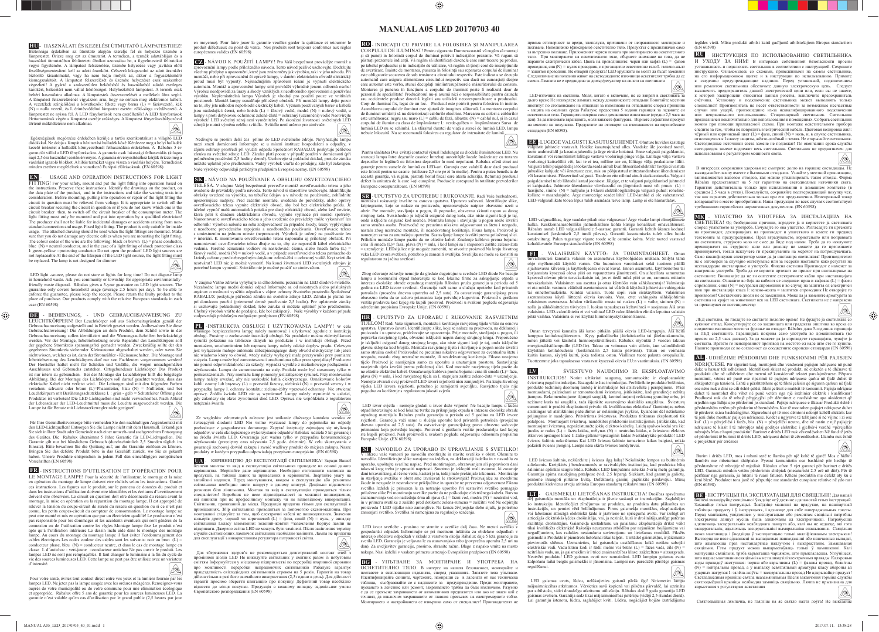## **MANUAL A05 LED 20170703 40**

**HU -** HASZNÁLATI ÉS KEZELÉSI ÚTMUTATÓ LÁMPATESTHEZ! Biztonsága érdekében az útmutató alapján szerelje fel és helyezze üzembe a<br>lámpatestet. Őrizze meg ezt az útmutatót. A terméken, a termék adattábláján és a<br>használati útmutatóban feltintetett ábrákat azonosítsa be, a figye nentesíteni kell az adott áramkört. Célszerű lekancsolni az adott áramkört biztosító kisautomatát, vagy ha nem tudja melyik az, akkor a fogyasztásmérő kismegszakítóit. A lámpatest felszerelését és üzembe helyezését csak szakember végezheti! A gyártó a szakszerűtlen bekötésből és használatból adódó esetlege károkért, balesetért nem vállal felelősséget. Helyhezkötött lámpatest. A termék csak beltéri használatra alkalmas. A lámpatestek összeszerelését a mellékelt ábra segíti. A lámpatest felszerelésénél vigyázzon arra, hogy ne sértsen meg elektromos kábelt. A vezetékek színjelölései a következők: fekete vagy barna (L) = fázisvezető, kék<br>(N) = nulla vezető, és I. érintésvédelmi lámpatest esetén: zöld-sárga =védővezető. A<br>lámpatestet ne nyissa fel. A LED fényforrások nem cserél élettartamának végén a lámpatest cseréje szükséges. A lámpatest fényerőszabályozóval történő működtetésre nem alkalmas.  $\textcircled{\footnotesize{A}}$ 

 $\bigoplus$ 

 Egészségének megörzése érdekében kerülje a tartós szemkontakust a világító LED diódákkal. Ne dobja a lámpát a házitartási hulladék közé Kérdezze meg a helyi hulladék kezelő intézetet a hulladék környezetbarát felhasználása érdekében. A Rábalux 5 év garanciát vállal a LED fényforrásokra. A garancia csak lakossági felhasználás (átlagos<br>napi 2,5 óra használat) esetén érvényes. A garancia érvényesítéséhez kérjük örizze meg a<br>vásárlást igazoló blokkot. A hibás terméket vi minden esetben megfelelnek a vonatkozó Európai előírásoknak. (EN 60598)

**EN** - USAGE AND OPERATION INSTRUCTIONS FOR LIGHT FITTING! For your safety, mount and put the light fitting into operation based on the instructions. Preserve these instructions. Identify the drawings on the product, on the data plate of the product, and in the instructions and take the warning texts into consideration. Before mounting, putting into operation or repair of the light fitting the circuit in question must be relieved from voltage. It is appropriate to switch off the circuit breaker securing the circuit in question or if you do not know which one is the circuit breaker securing the circuit in question of  $\Delta$   $\beta$  or the circuit breaker of the consumption meter. The circuit breaker of the consumption meter. The light fitting must only be mounted and put into operation by a qualified electrician! The producer shall not be liable for incidental damages or accidents arising from nonstandard connection and usage. Fixed light fitting. The product is only suitable for inside usage. The attached drawing should be used when the light fittings are mounted. Make sure that you do not damage any electric cables when you are mounting the light fitting. The colour codes of the wire are the following: black or brown  $(L)$  = phase conductor, blue  $(N)$  = neutral conductor, and in the case of a light fitting of shock protection class I: green-yellow =protecting conductor Do not open the product! LED light sources are not replaceable At the end of the lifespan of the LED light source, the light fitting must be replaced. The lamp is not designed for dimmer  $\circledR$ 

LED light -source, please do not stare at lights for long time! Do not dispose lam hold waste. Ask you community or township for appropriate environmental friendly waste disposal. Rábalux gives a 5-year guarantee on LED light sources. The guarantee only covers household usage (average 2.5 hours per day). To be able to enforce the guarantee, please keep the receipt. Please return the faulty product to the place of purchase. Our products comply with the relat case (EN 60598)

⊕

en moyenne). Pour faire jouer la garantie veuillez garder la quittance et retourner le produit défectueux au point de vente. Nos produits sont toujours conformes aux règles éennes valides (EN 60598)

**CZ** - NÁVOD K POUŽITÍ LAMPY! Pro Vaší bezpečnost provádějte montáž a zprovoznění lampy podle přiloženého návodu. Tento návod pečlivě uschovejte. Dodržujte<br>všechny předpisy a upozornění, které jsou znázorněny jak výrobku, tak i v jeho návodu. Při montáži, nebo při zprovoznění či opravě lampy, v daném elektrickém obvodě elektrický<br>proud musí být vypnutý. Nejsnadnějším způsobem řešení je vypnutí elektrického<br>automatu. Montáž a zprovoznění lampy smí provádět výhr Výrobce neodpovídá za úrazy a škody vzniklých z neodborného zprovoznění a používání výrobku. Nepřemístitelná lampa Výrobek je vhodný pro použití pouze ve vnitřních<br>prostorech. Montáž lampy usnadňuje přiložený obrázek. Při montáži lampy dejte pozor<br>na to, aby jste náhodou nepoškodil elektrický kabel. Význa jsou následující: černá, nebo hnědá (L) = fázový vodič, modrá (N) = nulový vodič, u lampy s proti dotykovou ochranou: zelená-žlutá = ochranný (uzemnění) vodič Neotvýrejte výrobek! LED světelný zdroj není vyměnitelný. Po skončení životnosti světelných LED zdrojů je nutná výměna celého svítidla. Svítidlo není určeno pro stmívače.

**DE -** BEDIENUNGS, - UND GEBRAUCHSANWEISUNG ZU LEUCHTKÖRPERN! Der Leuchtkörper soll aus Sicherheitsgründen gemäß der Gebrauchsanweisung aufgestellt und in Betrieb gesetzt werden. Aufbewahren Sie diese Gebrauchsanweisung! Die Abbildungen an dem Produkt, dem Schild sowie in der Gebrauchsanweisung sollen identifiziert und die Warnungsaufschriften berücksichtigt<br>werden. Vor der Montage, Inbetriebsetzung sowie Reparatur des Leuchtkörpers soll<br>der gegebene Stromkreis spamnungsfrei gemacht werden. Zwe nicht wissen, welcher es ist, dann der Stromzähler - Kleinausschalter. Die Montage und Indeed and The Leuchtkörpers darf nur von Fachleuten vorgenommen werden Der Hersteller haftet nicht für Schäden und Unfälle, die wegen unsachgemäßen Anschlusses und Gebrauchs entstehen. Ortsgebundener Lichtkörper Das Produkt<br>ist nur intern zu gebrauchen. Bei der Montage der Leuchtkörper hilft die beigelegte<br>Abbildung. Bei der Montage des Lichtkörpers soll darauf geacht elektrische Kabel nicht verletzt wird. Die Leitungen sind mit den folgenden Farben versehen: schwarz oder braun (L)=Phasenleiter, blau (N) = Nullleiter, und bei Leuchtkörpern mit Berührungsschutzklasse I. : grün - gelb = Schutzleiter Öffnung des<br>Produktes ist verboten! Die LED-Lichtquellen sind nicht verwechselbar. Nach Ablauf der Lebensdauer der LED-Leuchtmittel muss die Leuchte ausgewechselt werden. Die Lampe ist für Benutz mit Lichtstaerkerregler nicht geeignet!

Nedívejte se prosím delší čas přímo do LED světelného zdroje. Nevyhazujte lampunite lampunite lampunite se u místní instituce hospodaření s odnadky mezi smetí domácnosti Informujte se u místní instituce hospodaření s odpadky, v<br>zájmu ochrany prostředí při využití odpadu Společnost RABALUX poskytuje pětiletou<br>záruku na světelné zdroje LED. Záruka platí pooue v případě průměrném používání 2,5 hodiny denně). Uschovejte si pokladní doklad, protože záruku můžete uplatnit jeho předložením. Vadný výrobek vraťte do prodejny, kde byl zakoupen. Naše výrobky odpovídají patřičným předpisům Evropské normy. (EN 60598)

**SK** - NÁVOD NA POUŽÍVANIE A OBSLUHU OSVETĽOVACIEHO TELESA. V záujme Vašej bezpečnosti preveďte montáž osvetľovacieho telesa a jeho uvedenie do prevádzky podľa návodu. Tento návod si starostlivo uschovajte. Identifikujte<br>obrázky uvedené na výrobku, na tabuľke údajov a v návode na používanie, zohľadnite<br>upozorňujúce nadpisy. Pred začatím montáže, uveden svetľovacieho telesa vypnite elektrický obvod, aby bol bez elektrického prúdu. Je účelné vypnúť malú automatickú poistku pre daný elektrický obvod, alebo keď neviete,<br>ktorá patrí k danému elektrickému obvodu, vypnite vypínače pri merači spotreby.<br>Namontovanie osvetľovacieho telesa a jeho uvedenie do pre odborník! Výrobca neberie na seba zodpovednosť za prípadné škody, úrazy vyplývajúce<br>z neodborne prevedeného zapojenia a neodborného používania. Osvetľovacie teleso<br>s umiestnením na jednom mieste (neprenosné). Výrobok je ur v interiéri. K zmontovaniu osvetľovacieho telesa napomáha aj priložený obrázok. Pri namontovaní osvetľovacieho telesa dbajte na to, aby ste neporušili kábel elektrického vedenia. Farebné označenia vodičov sú nasledovné: čierna, alebo hnedá farba (L) = fázový vodič, modrá (N) = nulový vodič, a v prípade osvetľovacieho telesa patriaceho do Ltriedy ochrany pred nebezpečným dotykom: zelená-žltá = ochranný vodič. Kryt svietidla<br>neotvárať! LED nie je možné vymeniť. Na konci životnosti LED svetelných zdrojov je<br>potrebné lampu vymeniť. Svietidlo nie je možné použ  $[\mathbin{\textcircled{\!\!\!|\!\!\!}}\@0.1]$ 

 Für Ihre Gesundheitsvorsorge bitte vermeiden Sie den nachhaltigen Augenkontakt mit den LED-Lichtquellen! Entsorgen Sie die Lampe nicht mit dem Hausmüll. Erkundigen Sie sich in Ihrer Stadt oder Gemeinde nach einer umwelt- und sachgerechten Entsorgung des Gerätes. Die Rábalux übernimmt 5 Jahre Garantie für LED-Lichtquellen. Die Garantie gilt nur bei häuslichem Gebrauch (durchschnittlich 2,5 Stunden täglich im Einsatz). Bitte bewahren Sie die Quittung auf, um die Garantie einlösen zu können. Bringen Sie das defekte Produkt bitte in das Geschäft zurück, wo Sie es gekauft haben. Unserer Produkte entsprechen in jedem Fall den einschlägigen europäischen Vorschriften (EN 60598)

v<br>V záujme Vášho zdravia vyhýbajte sa dlhodobému pozeraniu na LED diodové sv Nezahodne lampu medzi domáci odpad Informujte sa od miestnych alebo príslušných<br>orgánov o možnosti využitia odpadku v zájme ochrany životného prostredia Spoločnosť<br>RABALUX poskytuje päťročnú záruku na svetelné zdroje LED. uschovajte pokladničný doklad, lebo záruku si môžete uplatniť jeho predloženín Chybný výrobok vráťte do predajne, kde bol zakúpený. Naše výrobky v každom prípade zodpovedajú príslušným európskym predpisom (EN 60598)

**PL** -INSTRUKCJA OBSŁUGI I UŻYTKOWANIA LAMPY! W celu własnego bezpieczeństwa lampę należy montować i użytkować zgodnie z instrukcją obsługi. Prosimy o zachowanie instrukcji obsługi. Na produkcie można zidentyfi kowaś rysunki pokazane na tabliczce danych na produkcie i w instrukcji obsługi. Przed montażem, uruchomieniem lub naprawą lampy należy odciąć dopływ prądu. Celowym jest wyłączenie małego automatu zabezpieczającego dany obwód elektryczny lub jeżeli<br>nie wiadomo który to obwód, wtedy należy wyłączyć małe przerywniki przy pomiarze<br>zużycia. Lampa może być zamontowana i uruchomiona tylko p nie ponosi odpowidzialności za szkody, wypadki wynikłe z niefachowego podłączenia i użytkowania. Lampa do zamontowania na stałę. Produkt może być stosowany tylko w pomieszczeniach. Przy montażu lamp pomocny jest załączony rysunek. Przy montowaniu lampy należy uważać, aby nie uszkodzić kabla elektrycznego. Oznakowanie kolorów kabli: czarny lub brązowy (L) = przewód fazowy, niebieski  $(N)$  = przewód zerowy i w przypadku lampy I. ochrony kontaktu: zielono-żółty =przewód ochronny Nie otwierać oprawy. Źródła światła LED nie są wymienne! Lampę należy wymienić w całości, gdy zakończy się okres żywotności diod LED. Oprawa nie współdziała z regulatorem natężenia światła  $\circled{\!\!\!2}$ 

**FR** - INSTRUCTIONS D'UTILISATION ET D'OPÉRATION POUR LE MONTAGE LAMPE! Pour la sécurité de l'utilisateur, le montage et la mise en opération du montage de lampe doivent etre réalisés selon les instructions. Garder ces instructions. Les figures sur le produit, sur le panneau de données du produit et dans les instructions d'utilisation doivent etre identifiées et les écritures d'avertissement doivent etre observées. Le circuit en question doit etre déconnecté du réseau avant le montage, la mise en opération ou la réparation du montage lampe. Il est approprié de relever la tension du coupe-circuit de sureté du réseau en question ou si ce n'est pas relever la tension du coupe-circuit de sureté du réseau en question ou si ce n'est pas connu, les petits coupes-circuit du compteur de connu, les petits coupes-circuit du compteur de consommation. Le montage lampe ne peut etre monté et mis en opération que par un électricien qualifié! Le producteur n'est pas responsable pour les dommages et les accidents éventuels qui sont générés de la connexion ou de l'utilisation contre les règles Montage lampe fixe Le produit n'est apte qu'à l'utilisation intérieure Le dessin inclu aide dans le montage des montage lampe. Au cours du montage du montage lampe il faut éviter l'endommagement de cables électriques Les codes couleur des cables sont les suivants: noir ou brun (L) = conducteur phase, bleu (N) = conducteur neutre, et dans le cas de montage lampe en classe I. d'antichoc : vert-jaune =conducteur antichoc Ne pas ouvrir le produit. Les lampes LED ne sont pas remplaçables. Il faut changer le luminaire à la fin du cycle de<br>vie des sources lumineuses LED. Cette lampe ne peut pas être utilisée avec un variateur vies LED. Cette lampe ne peut pas être utilisée avec un variateur<br>sous LED. Cette lampe ne peut pas être utilisée avec un variateur d'intensité.

Pour votre santé, évitez tout contact direct entre vos yeux et la lumière fournie par les lampes LED. Ne jetez pas la lampe usagée avec les ordures méagéres. Renseignez-vous nicipalité ou de votre commune pour une élimination écologiqu et appropriée. Rábalux offre 5 ans de garantie pour les sources lumineuses LED. La garantie n'est valable qu'en cas d'utilisation par le grand public (2,5 heures par jour

Ze względów zdrowotnych zalecane jest unikanie dłuższego kontaktu wzroku z świecącymi diodami LED Nie wolno wyrzucać lampy do pojemnika na odpady pochodzące z gospodarstwa domowego Zapytać instytucję zajmującą się utylizacją odpadów, w celu ekologicznego wykorzystanie odpadów Rabalux udziela 5 lat gwarancji na źródła światła LED. Gwarancja jest ważna tylko w przypadku konsumenckiego<br>użytkowania (przeciętny czas używania 2,5 godz. dziemnie). W celu skorzystania z<br>gwarancji zachowaj dowód zakupu i zwróć wadliwy produkt do miejs produkty w każdym przypadku odpowiadają przepisom europejskim. (EN 60598)

**UA** - КЕРІВНИЦТВО ДО ЕКСПЛУАТАЦІЇ СВІТИЛЬНИКА! Заради Вашої монтаж та ввід в експлуатацію світильника проводьте на основі даного керівництва. Зберігайте дане керівництво. Необхідно ототожнити малюнки на продукції, на таблиці даних та приведених в керівництві. Звертайте увагу на запобіжні надписи. Перед монтуванням, вводом в експлуатацію або ремонтом світильника необхідно зняти напругу в даному контурі. Доцільно відключити<br>розмикач біля лічильника. Монтаж та ввід в експлуатацію проводиться тільки<br>спеціалістом! Виробник не несе відповідальності за можливі пошкодження, які виникли при не професійному монтажу чи не відповідному використанні. Світильник, привязаний до місця. Продукція придатна тільки для експлуатації в приміщеннях. Збір світильника проводиться за допомогою схеми-малюнка. При монтуванні слідкуйте за тим, щоб електричні кабелі не пошкоджилися. Значення кольорів дроту: чорний чи коричневий (L) = фаза, синій (N) = нуль, у випадку світильника I.класу заземлення: зелений-жовтий =заземлення Корпус лампи не відкривати. Джерело світла LED не можуть бути замінені. Після закінчення терміну служби світлодіодних лампочок світильник необхідно замінити. Лампа не придатн ксплуатації з використанням регулятора потужності світла.  $^{\textcircled{\tiny{\textregistered}}}$ 

Для збереження здоров'я не рекомендується довготривалий контакт ліодів LED Не викидуйте світильник у смітник разом із побутов сміттям Інформуйтеся у місцевому підприємстві по переробці вторинної сировини про можливості переробки непрацюючих світильників Рабалукс гарантує працездатність світлодіодних світильників строком на 5 років. Гарантія на товар<br>дійсна тільки в разі його звичайного використання (2,5 години в день). Для дійсності<br>гарантії просимо зберегти квитанцію про покупку. Дефектн віднести до місця покупки. Продукція в кожному випадку задовільняє умови ести до місця покупки: тродукція<br>опейского розпорядження (EN 60598)

**SR** - UPUTSTVO ZA UPOTREBU I RUKOVANJE. Radi Vaše bezbednosti, montažu i rokuvanje izvršite na osnovu uputstva. Uputstvo sačuvati. Identifikujte slike,<br>kriptograme, koje se nalaze na proizvodu, upozoravajuće natpise obavezno uzeti u obzir. Pre montaže, stavljanja u pogon, ili popravke, obavezno skinuti napon sa datog strujnog kola. Svrsishodno je isljučiti osigurač datog kola, ako niste sigurni koji je taj,<br>onda isključite osigurač kod merača. Montažu lampe i stavljanje u pogon može izvršiti<br>samo stručna osoba. Proizvođač ne preuzima n nastalu zbog nestručne montaže, ili neadekvatnog korištenja. Fixna lampa. Proizvod je namenjen samo za unutrašnju upotrebu. Sastavljanje lampe izvršiti prema priloženoj slici Prilionali pazite lampe lampe la visite prema prilozente<br>Poda ne oštetite kabel. Značenje kablova prema b crna ili smeđa (L)= faza, plava (N) = nula, i kod lampi sa I stepenom zaštite zeleno-žuta = uzemljenje. LEDsijalice nije moguće zameniti, ne otvorite proizvod Na kraju životnog<br>veka LED izvora svetlosti, potrebno je zameniti svetiljku. Svetiljku ne može se koristiti sa<br>regulatorom za jačinu svetlosti  $\bigcircled{\!\!\!}_{\;\! \infty}$ 

 LED izvor svjetla - nemojte gledati u izvor duže vrijeme! Ne bacajte lampu u kućni otpad Interesirajte se kod lokalne tvrtke za prikupljanje otpada u interesu ekološke obrade otpadnog materijala Rabalux pruža garanciju u periodu od 5 godina na LED izvore svjetlosti. Garancija važi samo u slučaju uporabe kod privatnih potrošača (prosječna<br>dnevna uporaba od 2,5 sata). Za ostvarivanje garancijskog prava obvezno sačuvajte<br>priznanicu koja potvrđuje kupnju. Proizvod s greškom vr ste kupili proizvod. Naši proizvodi u svakom pogledu odgovaraju odnosnim propis Europske Unije. (EN 60598)

**SI** - NAVODILO ZA UPORABO IN UPRAVLJANJE S SVETILKO! V intereu vaše varnosti po navodilu montirajte in stavite svetilko v obrat. Ohranite to navodilo. Identifi cirajte slike navajane na izdelku, na deklaraciji izdelka in v navodilu za uporabo, upoštujte svarilne napise. Pred montiranjem, obratovanjem ali popravkom dani tokovni krog treba je sprostiti napetosti. Smotrno je izklopiti mali avtomat, ki zavaruje<br>dani tokovni krog, ali če ne veste, kasteri je ta, tedaj malo prekinjalo tokomera. Montiranje<br>in stavljenje svetilke v obrat sme izv škode in nezgode iz nestrokovne priključitve in uporabe ne prevzema odgovornost Fiksna elek je primeren le za notranjo uporabo Pri sestavitvi svetilke pomagajo priložene slike Pri montiranju svetilke pazite da ne poškodujte električnega kabela. Barvna zaznamovanja vod so naslednja:črna ali rjava (L) = fazni vod, modra (N) = neutralni vod,<br>in v primeru svetilke z zaščito pred dotikom: zelena-rumena = zaščitni vod Ne odpirajte<br>proizvoda ! LED sijalke niso zamenjlive. Na zamenjati svetilko. Svetilka ni namenjena za regulacijo senčenja.  $\boxed{\mathbb{A}}$ 

LED izvor svetlobe - prosimo ne strmite v svetilke dalj časa. Ne metati sv gospodarski odpadek Informirajte se pri mestnom inštitutu za obdelavo odpadkah v interesjo obdelave odpadkah v sklado z varstvom okolja Rábalux daje 5 leta garancije za svetila LED. Garancija je veljavna le za stanovanjsko rabo (povprečna uporaba 2,5 uri na dan). Za uveljavitev garancije, prosimo, shranite račun. Blago z napako vrnite na mesto nakupa. Nasi izdelki v vsakem primeru ustrezajo Evropsikim predpisom (EN 60598)

LED-източник на светлина. Моля, когато е включено, не се взирай в светли дълго време Не изхвърлете лампата между домакинските отпадъци Попитайте местния институт по стопанисване на отпадъци за използване на отпадъците според принципа - защита на околната среда Рабалукс предоставя 5 години гаранция за ледовите си осветителни тела. Гаранцията покрива само домакинско използване (средно 2,5 часа на ден). За да изисквате гаранцията, моля запазете фактурата. Върнете дефектния продукт на мястото на покупката. Продуктите ни отговарят на изискванията на европейските стандарти (EN 60598).

**EXP.** - LUGEGE VALGUSTI KASUTUSJUHENDIT. Ohutuse huvides kasutage valgustit juhistele vastavalt. Hoidke kasutusjuhend alles. Vaadake üle joonised tootel, toote andmesildil ja kasutusjuhendis ja ärge eirake hoiatusi. Enne valgusti paigaldamist, kasutamist või remontimist lülitage vastava vooluringi pinge välja. Lülitage välja vastava vooluringi kaitselüliti või, kui te ei tea, milline see on, lülitage välja peakaitsme lüliti. Valgusti tohib paigaldada ja töökorda seada ainult kvalifi tseeritud elektrik! Tootja ei vastuta juhuslike kahjude või õnnetuste eest, mis on põhjustatud mittestandardsest ühendamisest või kasutamisest. Fikseeritud valgusti. Toode on ette nähtud ainult sisekasutuseks. Valgusti paigaldamisel tuleb lähtuda lisatud joonisest. Jälgige, et te valgusti paigaldamisel juhtmeid ei kahjustaks. Juhtmete ühendamise värvikoodid on järgmised: must või pruun (L) = faasijuhe, sinine (N) = nulljuhe ja I-klassi elektrilöögikaitsega valgusti puhul: roheline-<br>kollane = maandusjuhe. Ärge monteerige seadet lahti! LED-lambid ei ole vahetatavad.<br>LED-valgusallikate tööea lõpus tuleb asendada

LED valgusallikas, ärge vaadake pikalt otse valgusesse! Ärge visake lampi olmejäät hulka. Keskkonnanasõbraliku jäätmekäitluse kohta küsige kohalikust omavalitsusest.<br>Rábalux annab LED valgusallikatele 5-aastase garantii. Garantii kehtib üksnes kodusel<br>kasutamisel (keskmiselt 2,5 tundi päevas). Garantii k ostukviitung. Palun tagastage vigane toode selle ostmise kohta. Meie tooted vastavad kohalduvatele Euroopa standarditele (EN 60598)

LED šviesos šaltinis, nežiūrėkite į šviesas ilgą laiką! Nešalinkite lempos su bu atliekomis. Kreipkitės į bendruomenės ar savivaldybės institucijas, kad produktas būtų šalinimas aplinkai saugiu būdu. Rábalux LED lemputėms suteikia 5-erių metų garantiją. Garantija apima naudojimą patalpose (vid. 2.5 h/parą). Siekiant, kad garantija galiotų, prašome išsaugoti pirkimo kvitą. Defektuotą gaminį grąžinkite pardavėjui. Mūsų produktai kiekvienu atveju atitinka Europos standartų reikalavimus (EN 60598)

**LT** - GAISMEKĻU LIETOŠANAS INSTRUKCIJA! Drošības apsvērum dēļ gaismekļa montāža un ekspluatācija ir jāveic saskaņā ar instrukcijām. Saglabājiet<br>šo instrukciju. Identificējiet zīmējumus uz produkta, uz produkta datu plāksnītes un instrukcijās, un ņemiet vērā brīdinājumus. Pirms gaismekļa montāžas, ekspluatācijas vai labošanas attiecīgā elektriskā ķēde ir jāatvieno no sprieguma avota. Var izslēgt arī attiecīgās elektriskās ķēdes drošinātāju, vai, ja nezināt, kurš ir drošinātājs,atslēgt patēriņa skaitītāja drošinātājus. Gaismekļa uzstādīšanu un palaišanu ekspluatācijā drīkst veikt<br>tikai kvalificēts elektriķis! Ražotājs neuzņemas atbildību par nejaušiem bojājumiem vai<br>negadījumiem, kas radušies nestandarta savienoj meklis Produkts ir piemērots lietošanai tikai telpās. Uzstādot gaismekļus, ir jāizmant pievienotās shēmas. Uzmanieties, lai gaismekļa uzstādīšanas laikā netiktu sabojāti elektriskie vadi. Vadu krāsu kodi ir šādi: melns vai brūns (L) = fāzes vads, zils (N) = neitrālais vads, un, ja gaismeklim ir I triecienaizsardzības klase: zaļdzeltens = aizsargvads. Neatvērt produktu! LED gaismas avoti nav nomaināmi. LED lampiņu gaismas avota kalpošana laikā beigās gaismas avoti nav nomamami. EED tampiņu gaismas a<br>ma laikā beigās gaismeklis ir jānomaina. Lampai nav paredzēts pārslēgs gais regulēšanai.

aas avots, lūdzu, nelūkojieties gaismā pārāk ilgi! Neizme mājsaimniecības atkritumos. Vērsieties savā kopienā vai pilsētas pārvaldē, lai uzzinātu par atbilstošu, videi draudzīgu atkritumu utilizāciju. Rábalux dod 5 gadu garantiju LED<br>gaismas avotiem. Garantija sedz tikai mājsaimniecības patēriņu (vidēji 2,5 stundas dienā).<br>Lai garantiju īstenotu, lūdzu, saglabājiet











**RO** - INDICAŢII CU PRIVIRE LA FOLOSIREA ŞI MANIPULAREA CORPULUI DE ILUMINAT! Pentru siguranta Dumneavoastră vă rugăm să montaţi  $\ddot{\mathbf{s}}$  puneți in folosintă corpul de iluminat potrivit indicațiilor prezente. Vă rugam să păreți în formată verpat de manimat pentru indicații. Vă rugăm să identificați desenele care sunt trecute pe produs pe tabelul produsului şi în indicaţiile de utilizare, vă rugăm să ţineţi cont de inscripţiunile de avertizare. Inainte de montarea, punerea în folosință sau repararea corpului de iluminat<br>este obligatorie scoaterea de sub tensiune a circuitului respectiv. Este indicat a se decupla<br>automatul care asigura alimentarea c Corp de iluminat fix, legat de un loc. Produsul este potrivit pentru folosirea în incinte. Asamblarea corpului de iluminat este ajutată de imaginea alăturată. La montarea corpului<br>de iluminat urmăriți să nu deteriorizați cablurile electrice. Marcarea cu colori a cablurilor<br>este următoarea: negru sau maro (L) = c corpului de ilumiat cu clasa de împământare I.: verde-galben = împământarea Sursa de lumină LED nu se schimbă. La sfârșitul duratei de viață a sursei de lumină LED, lampa trebuie înlocuită. Nu se recomandă folosirea cu regulator de intensitate de lumină.

 Pentru sănătatea Dvs evitaţi contactul vizual îndelungat cu diodele iluminatoare LED. Nu aruncați lampa între deșeurile casnice Întrebați autoritățile locale însărcinate cu tratarea<br>deșeurilor în legătură cu folosirea deșeurilor în mod nepoluant. Rabalux oferă cinci ani<br>garanție pentru sursele de lumină cu LED este folosit pentru uz casnic (utilizare 2.5 ore pe zi în medie). Pentru a putea beneficia de această garanție, vă rugăm, păstrați bonul fiscal care atestă achiziția. Returnați produsul<br>defect la unitatea de la care l-ați cumpărat. Produsele corespund în totalitate prevederilor Europene corespunzătoare. (EN 60598)

> ЛЕД светилка, не гледајте во светлото подолго време! Не фрлајте ја светил куќниот отпад. Консултирајте се со заедницата или градската општина во врска со соодветно еколошко место за фрлање на отпадот. Rábalux дава 5-годишна гаранција за ЛЕД светилките. Гаранцијата покрива само употреба во домаќинствата (во просек по 2,5 часа дневно). За да можете да ја спроведете гаранцијата, чувајте ја сметката. Вратете го неисправниот производ на местото од каде што сте го куп Нашите производи се во согласност со соодветните европски стандарди (EN 60598)

 Zbog očuvanje zdravlje nemojte da gledate dugotrajno u svetluće LED diode Ne bacajte lampu u komunalni otpad Interesujte se kod lokalne firme za sakuplianje otpada interesu ekološke obrade otpadnog materijala Rábalux pruža garanciju u periodu od 5<br>godina na LED izvore svetlosti. Garancija važi samo u slučaju upotrebe kod privatnih<br>potrošača (prosečna dnevna upotreba od 2,5 sata). Za obavezno treba da se sačuva priznanica koja potvrđuje kupovinu. Proizvod s greš vratite prodavcu kod kojeg ste kupili proizvod. Proizvodi u svakom pogledu odgovaraju određenim propisima Evropske Unije. (EN 60598)

**HR** - UPUTSTVO ZA UPORABU I RUKOVANJE RASVJETNIM TIJELOM! Radi Vaše sigurnosti, montažu i korištenje rasvjetnog tijela vršite na osnovu uputstva. Uputstvo čuvati. Identificirajte slike, koje se nalaze na proizvodu, na deklaraciji<br>proizvoda i u uputstvu, pridržavajte se upozorenja. Prije montaže, stavljanja u pogon, ili<br>popravka rasvjetnog tijela, obvezno i je isključiti osigurač danog strujnog kruga, ako niste sigurni koji je taj, onda isključite<br>glavnu sklopku kod brojila. Montažu rasvjetnog tijela i stavljanje u pogon može izvršiti<br>samo stručna osoba! Proizvođač ne preuzim nezgodu, nastalu zbog nestručne montaže, ili neadekvatnog korištenja. Fiksno rasvjetno<br>tijelo Proizvod je namijenjen samo za uporabu u unutarnjem prostoru. Sastavljanje<br>rasvjetnih tijela izvršiti prema priloženoj slici. Ko ne oštetite električni kabel. Označavanje kablova prema bojama: crna ili smeđa (L)= faza,<br>plava (N) = nula, i kod rasvjetnog tijela sa I. stupnjem zaštite zeleno-žuta = uzemljenje.<br>Nemojte otvarati ovaj proizvod! LED izvo vijeka LED izvora svjetlosti, potrebno je zamijeniti svjetiljku. Rasvjetno tijelo nije pogodno za korištenje s regulatorom jakosti svjetla.

**BG** - УПЪТВАНЕ ЗА МОНТИРАНЕ И УПОТРЕБА НА ОСВЕТИТЕЛНО ТЯЛО. В интерес на вашата безопасност, монтирайте и поставете в експлоатация изделията, според указанията. Запазете това упътване. Идентифицирайте скиците, чертежите, намиращи се в дадената от нас техническа<br>таблица, съобразявайте се с надписите за предупреждение. Преди монтирането,<br>пускането в действие или ремонт, захранването трябва да бъде изключе е да се прекъсне захранването от автоматичния предпазител или ако не знаем кой е точният, да изключим захранването от главния прекъсвач на електромерното табло. Монтирането и настройването се извършва само от специалист! Производителят не приема отговорност за вреди, злополуки, причинени от неправилното монтиране и ползване. Неподвижно (фиксирано) осветително тяло. Продуктът е предназначен само<br>за вътрешно ползване. Приложеният чертеж помага при монтирането на осветителното<br>тяло. При монтирането на осветителното тяло, обърнете вни нараните електрически кабел. Цвета на проводниците: черен или кафяв (L) = фазов проводник, син (N) = нулев проводник, и при защитно осветително тяло I. : зелено-жълт = защитен проводник. Не отваряй продукта! LED крушките не могат да бъдат заменяни След изтичане на полезния живот на светодиодните източници осветителят трябва да се<br>смени. Лампата не е предвидена за димър⁄регулатор на силата на светлината смени. Лампата не е предвидена за димър/регулатор на силата на светлината

**FI** - VALAISIMEN KÄYTTÖ- JA TOIMINTAOHJEET. Oman turvallisuutesi kannalta valaisin on asennettava käyttöohjeiden mukaan. Säilytä tämä ohje myöhempää käyttöä varten. Ota huomioon varoitukset sekä tuotteen päällä sevassa kilvessä ja käyttöohjeessa olevat kuvat. Ennen asennusta, käyttöönottoa tai<br>amista kyseessä oleva piiri on vanautettava iännitteestä. On aiheellista sammuttaa korjaamista kyseessä oleva piiri on vapautettava jännitteestä. On aiheellista sammuttaa kyseessä olevan piirin turvakatkaisin tai, jos et tiedä mikä piiri se on, sammuta mittarin turvakatkaisin. Valaisimen saa asentaa ja ottaa käyttöön vain sähköasentaja! Valmistaja ei ota mitään vastuuta väärästä asentamisesta tai väärästä käytöstä johtuvista vahingoista<br>tai onnettomuuksista. Kiinteä valaisin. Tuote sopii vain sisäkäyttöön. Valaisimen<br>asentamisessa käytä Iiitteenä olevia valaisimen asentaessa. Johdon värikoodit: musta tai ruskea  $(L) =$  vaihe, sininen  $(N) =$  nolla ja sähkölaitteiden tiivivden L luokan tanauksessa keltavihreä = suojamaa Älä ava nolla ja sähkölaitteiden tiiviyden I. luokan tapauksessa keltavihreä = suojamaa Älä avaa valaisinta. LED-valonlähteita ei voi vaihtaa! LED valonlähteiden eliniän loputtua valaisin pitää vaihtaa. Valaisinta ei voi käyttää himmennyskytkimen kanssa.

 Oman terveytesi kannalta älä katso pitkään päällä olevia LED-lamppuja. Älä heitä lamppua kotitalousjätteeseen. Kysy paikalliselta jätelaitokselta tai jätelautakunnalta,<br>miten jätteitä voi käsitellä luonnonystävällisesti. Rábalux myöntää 5 vuoden takuun<br>energiansäästölampuille (LED:lle). Takuu on voima käytetään kotitaloudessa (keskimäärin 2,5 tuntia päivässä). Takuu on voimassa kuitin kanssa, säylytä kuitti, joka todistaa oston. Viallinen tuote palauta ostopaikalle. Tuotteemme joka tapauksessa vastaavat kyseessä olevia EU:n vaatimuksia. (EN 60598)

**LV** - ŠVIESTUVO NAUDOJIMO IR EKSPLOATAVIMO INSTRUKCIJOS! Norint užtikrinti saugumą, sumontuokite ir eksploatuokite<br>šviestuvąpagalinstrukcijas.Išsaugokitešiasinstrukcijas.Peržiūrėkite-produkto-brėžinius,<br>produkto techninių duomenų lentelę ir instrukcijas bei atsižve montuodami, paleisdami ar remontuodami šviestuvą, įsitikinkite, kad grandinėje nebūtų<br>įtampos. Rekomenduojame išjungti saugiklį, kontroliuojantį reikiamą grandinę arba, jei<br>nežinote kuris tai saugiklis, tada išjunkite suva atsakingas už atsitiktinius pažeidimus ar nelaimingus įvykius, kylančius dėl netinkamo prijungimo ir naudojimo. Pritvirtintas šviestuvas. Produktas tinkamas eksploatuoti tik<br>patalpose. Montuojant šviestuvą, naudokitės pridėtomis instrukcijomis. Įsitikinkite, kad<br>montuojant šviestuvą, nepažeistumėte jokių ele juodas ar rudas (L) = fazės laidas, mėlynas (N) = neutralus laidas, o šviestuvo elektros<br>iškrovos apsaugos klasė I: žalia-geltona=apsauginis laidas Neatidarykite produkto! LED<br>šviesos šaltinis nekeičiamas Kai LED šviesos š pakeisti šviesos įrenginį. Lempa nėra skirta šviesos temdytuvui.

iegādes vietā. Mūsu produkti atbilst katrā gadījumā atbilstošajiem Eiropas standartiem (EN 60598)

**RU** - ИНСТРУКЦИЯ ПО ИСПОЛЬЗОВАНИЮ СВЕТИЛЬНИКА И УХОДУ ЗА НИМ! В интересах собственной безопасности просим устанавливать и подключать светильник в соответствии с инструкцией. Сохраните инструкцию. Ознакомьтесь со схемами, приведёнными на самом светильнике, на его информационном щитке и в инструкции по использованию. Примите к сведению предупреждающие надписи. Перед установкой, подключением<br>или ремонтом светильника обесточьте данную электрическую цепь. Следует<br>выключить предохранитель данной электрической цепи или, если вы не знаете, к которой электроцепи относится данная розетка, выключите предохранитель счётчика. Установку и подключение светильника может выполнять только стенка. Эстановку и подключение светильника может выполнять тольн<br>ециалист! Производитель не несёт ответственности за возможные несчастнь случаи или ущерб, произошедшие из-за неквалифицированного подключения или неправильного использования. Стационарный светильник. Светильник<br>предназначен исключительно для использования впомещениях.Собрать светильник<br>можно при помощи прилагаемой схемы. При монтаже осветительного прибора следите за тем, чтобы не повредить электрический кабель. Цветовая кодировка жил:<br>чёрный или коричневый цвет (L) = фаза, синий (N) = ноль, и, в случае светильника,<br>относящегося к I классу защиты, жёлто-зелёный = земля. Не Светодиодные источники света замене не подлежат! По окончании срока службы светодиодов замене подлежит весь светильник. Светильник не предназначен для<br>использования с регулятором мощности света. использования с регулятором мощности света.

 В интересах сохранения здоровья не смотрите долго на горящие светодиоды. Не выкидывайте лампу вместе с бытовыми отходами. Узнайте у местной организации, занимающейся вывозом отходов, как можно утилизировать такие отходы. Фирма Rábalux предоставляет на 5 лет гарантию на светодиодные источники света. Гарантия действительна только при использовании в домашнем хозяйстве (в среднем 2,5 часа в сутки). Пожалуйста, сохраняйте подтверждающий покупку чек, так как гарантия действительна только при его предъявлении. Неисправный товар возвращайте в место приобретения. Наша продукция во всех случаях соответствует требованиям европейских нормативных документов. (EN 60598)

**MK** - УПАТСТВО ЗА УПОТРЕБА ЗА ИНСТАЛАЦИЈА НА СВЕТИЛКА! Од безбедносни причини, вградете ја и користете ја светилката според упатството за употреба. Сочувајте го ова упатство. Разгледајте ги цртежите на производот, декларацијата на производот и упатството и земете ги предвид текстовите за предупредување. Пред вградувањето, користењето или поправката на светилката, струјното коло не смее да биде под напон. Треба да го исклучите прекинувачот на струјното коло или доколку не можете да го препознаете .<br>прекинувачот, тогаш исклучете ги прекинувачите на мерачот на потрошувачката. квалификуван електричар може да ја инсталира светилката! Производителот не е одговорен за случајно оштетување или за несреќи настанати како резултат на нестандардно инсталирање и употреба. Фиксна светилка Производот е наменет за<br>внатрешна употреба. Треба да се користи цртежот во прилог при инсталирање на<br>светилките. Внимавајте да не ги оштетите електричните кабли при инс на светилката. Ознаките во боја на кабелот се следниве: црна и кафеава (L) = фазен спроводник, сина (N) = неутрален спроводник и во случај на заштита од електричен<br>шок при инсталација класа I: зелено-жолта = заштитен спроводник Не отворајте го<br>производот! Светлечките диоди не се заменливи. Може да ја з светилка на крајот на животниот век на LED светилката. Светилката не е направена за прекинувач со потенциометар



◈

**AL** - UDHËZIME PËRDORIMI DHE FUNKSIONIMI PËR PAJISJEN NDRIÇUESE. Për sigurinë tuaj, montojeni dhe vendoseni pajisjen ndriçuese në punë duke u bazuar tek udhëzimet. Identifi koni skicat në produkt, në etiketën e të dhënave të produktit dhe në udhëzimet dhe merrni në konsideratë tekstet paralajmëruese. Përpara montimit, vënies në punë ose riparimit të pajisjes ndriçuese qarku në fjalë duhet të<br>shkëputet nga tensioni. Është e përshtatshme që të fikni çelësin që siguron qarkun në fjalë ose nëse nuk e dini se cili është çelësi, fi kni çelësat e matësit të konsumit. Pajisja ndriçuse duhet të montohet dhe vihet në punë vetëm nga një inxhinier elektrik i kualifikuar Prodhuesi nuk do të mbajë përgjegjësi për dëmtimet e rastësishme apo aksidentet që rrjedhin nga lidhja apo përdorimi jo-standard. Pajisje ndriçuese e fiksuar Produkti është përshtatshëm vetëm për përdorim të brendshëm. Kur të montohen pajisjet ndriçuese duhet të përdoret skica bashkëngjitur. Sigurohuni që të mos dëmtoni ndonjë kabëll elektrik kur të jeni duke montuar pajisjen ndriçuese. Kodet e ngjyrave të telit janë si në vijim: i zi ose kaf (L) = përcjellësi i fazës, blu (N) = përcjellësi neutro, dhe në rastin e një pajisjeje<br>ndriçuese të klasit I të mbrojtjes ndaj goditjes elektrike: i gjelbër-i verdhë =përcjellës<br>mbrojtës Mos e hapni produktin! Burimet së përdorimit të burimit të dritës LED, ndriçuesi duhet të zëvendësohet. Llamba nuk është e projektuar për errësues



 Burim i dritës LED, mos i mbani sytë te llamba për një kohë të gjatë! Mos e hidhni llambën me mbeturinat shtëpiake. Pyesni komunitetin ose bashkinë për hedhje të përshtatshme në mbrojtje të mjedisit. Rábalux ofron 5 vjet garanci për burimet e dritës LED. Garancia mbulon vetëm përdorimin shtëpiak (mesatarisht 2.5 orë në ditë). Për të<br>përfituar nga garancia, ju lutemi të ruani faturën. Ktheni produktin me defekt aty ku e<br>keni blerë. Produktet tona janë në përputhje me s (EN 60598)

**BE** - ІНСТРУКЦЫІ ПА ЭКСПЛУАТАЦЫІ ДЛЯ СВЯЦІЛЬНІ! Для вашай бяспекі зманціруйце свяцільню і ўвядзіце яе ў дзеянне з дапамогай гэтых інструкцый. Захавайце гэтыя інструкцыі. Знайдзіце малюнкі на прадукце, на пашпартнай таблічцы прадукту і ў інструкцыях, і адзначце для сябе папераджальныя тэксты. Перад мантажом, увядзеннем у эксплуатацыю або рамонтам свяцільні патрэбны электрычны ланцуг мусіць быць адключаны ад электрычнасці. Патрабуецца адключыць засцерагальнік неабходнага ланцуга або, калі вы не ведаеце, які гэта засцерагальнік, адключыць засцерагальнікі вымяральніка спажывання. Свяцільня можа мантавацца і ўводзіцца ў эксплуатацыю толькі кваліфікаваным электрыкам! Вытворца не нясе адказнасці за выпадковыя пашкоджанні або няшчасныя выпадкі, што адываюцца праз нестандартнае падлучэне і выкарыстанне. Замацаваная свяцільня. Гэты прадукт можна выкарыстоўваць толькі ў памяшканні. Калі мантуецца свяцільня, трэба карыстацца чарцяжом, што прыкладаецца. Упэўніцеся, што падчас мантавання свяцільні вы не пашкодзілі электрычныя правады. Каляровыя коды правадоў наступныя: чорны або карычнявы (L) = фазавы провад, блакітны (N) = нейтральны провад, а ў выпадку асвятляльнай арматуры класу абароны ад ударных нагрузак I: зялёна-жоўты = засцерагальны провад Не адкрывайце прадукт! Светладыёдныя крыніцы святла неазамяняльныя Пасля заканчэння тэрміна службы святлодыёднай крыніцы неабходна замяніць свяцільню. Лямпа не прызначана для карыстання з рэгулятарам асвятлення



Святлодыёдная лямпачка, не глядзіце на яе святло надта доўга! Не выкід